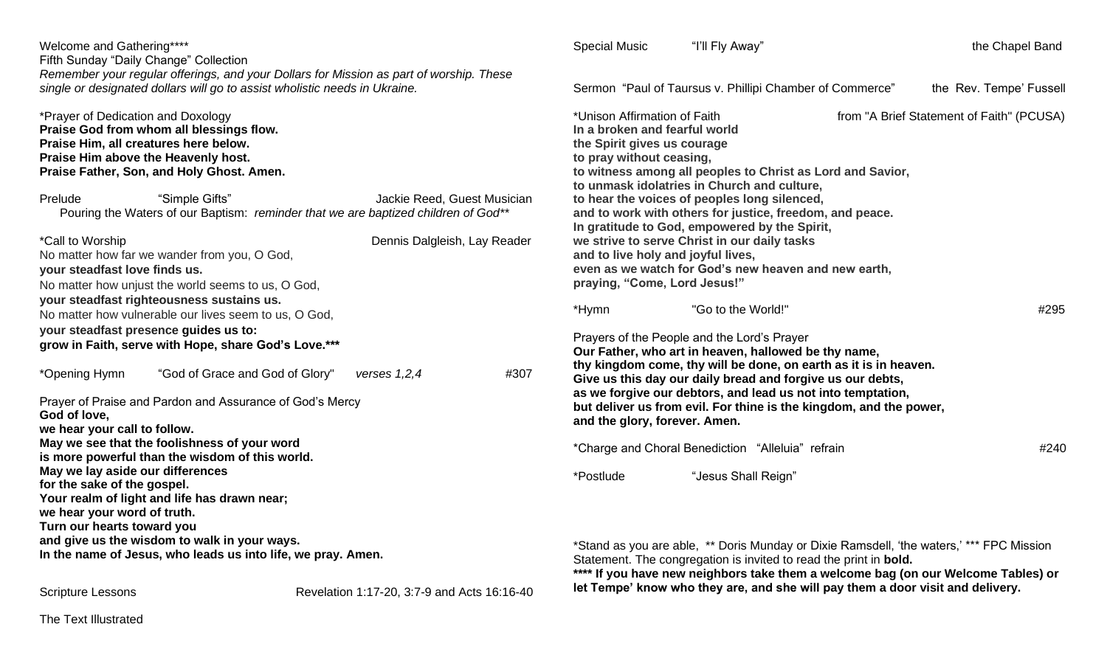| Welcome and Gathering****<br>Fifth Sunday "Daily Change" Collection<br>Remember your regular offerings, and your Dollars for Mission as part of worship. These                                                                                                          | <b>Special Music</b><br>"I'll Fly Away"<br>the Chapel Band                                                                                                                                                                                                                                                                         |
|-------------------------------------------------------------------------------------------------------------------------------------------------------------------------------------------------------------------------------------------------------------------------|------------------------------------------------------------------------------------------------------------------------------------------------------------------------------------------------------------------------------------------------------------------------------------------------------------------------------------|
| single or designated dollars will go to assist wholistic needs in Ukraine.                                                                                                                                                                                              | Sermon "Paul of Taursus v. Phillipi Chamber of Commerce"<br>the Rev. Tempe' Fussell                                                                                                                                                                                                                                                |
| *Prayer of Dedication and Doxology<br>Praise God from whom all blessings flow.<br>Praise Him, all creatures here below.<br>Praise Him above the Heavenly host.<br>Praise Father, Son, and Holy Ghost. Amen.<br>Prelude<br>"Simple Gifts"<br>Jackie Reed, Guest Musician | *Unison Affirmation of Faith<br>from "A Brief Statement of Faith" (PCUSA)<br>In a broken and fearful world<br>the Spirit gives us courage<br>to pray without ceasing,<br>to witness among all peoples to Christ as Lord and Savior,<br>to unmask idolatries in Church and culture,<br>to hear the voices of peoples long silenced, |
| Pouring the Waters of our Baptism: reminder that we are baptized children of God**                                                                                                                                                                                      | and to work with others for justice, freedom, and peace.<br>In gratitude to God, empowered by the Spirit,                                                                                                                                                                                                                          |
| *Call to Worship<br>Dennis Dalgleish, Lay Reader<br>No matter how far we wander from you, O God,<br>your steadfast love finds us.<br>No matter how unjust the world seems to us, O God,                                                                                 | we strive to serve Christ in our daily tasks<br>and to live holy and joyful lives,<br>even as we watch for God's new heaven and new earth,<br>praying, "Come, Lord Jesus!"                                                                                                                                                         |
| your steadfast righteousness sustains us.<br>No matter how vulnerable our lives seem to us, O God,                                                                                                                                                                      | *Hymn<br>"Go to the World!"<br>#295                                                                                                                                                                                                                                                                                                |
| your steadfast presence guides us to:<br>grow in Faith, serve with Hope, share God's Love.***                                                                                                                                                                           | Prayers of the People and the Lord's Prayer<br>Our Father, who art in heaven, hallowed be thy name,                                                                                                                                                                                                                                |
| #307<br>"God of Grace and God of Glory"<br>*Opening Hymn<br>verses $1,2,4$<br>Prayer of Praise and Pardon and Assurance of God's Mercy<br>God of love,<br>we hear your call to follow.                                                                                  | thy kingdom come, thy will be done, on earth as it is in heaven.<br>Give us this day our daily bread and forgive us our debts,<br>as we forgive our debtors, and lead us not into temptation,<br>but deliver us from evil. For thine is the kingdom, and the power,<br>and the glory, forever. Amen.                               |
| May we see that the foolishness of your word<br>is more powerful than the wisdom of this world.                                                                                                                                                                         | *Charge and Choral Benediction "Alleluia" refrain<br>#240                                                                                                                                                                                                                                                                          |
| May we lay aside our differences<br>for the sake of the gospel.<br>Your realm of light and life has drawn near;<br>we hear your word of truth.<br>Turn our hearts toward you                                                                                            | *Postlude<br>"Jesus Shall Reign"                                                                                                                                                                                                                                                                                                   |
| and give us the wisdom to walk in your ways.<br>In the name of Jesus, who leads us into life, we pray. Amen.                                                                                                                                                            | *Stand as you are able, ** Doris Munday or Dixie Ramsdell, 'the waters,' *** FPC Mission<br>Statement. The congregation is invited to read the print in bold.<br>**** If you have new neighbors take them a welcome bag (on our Welcome Tables) or                                                                                 |

**let Tempe' know who they are, and she will pay them a door visit and delivery.**

Scripture Lessons **Revelation 1:17-20, 3:7-9 and Acts 16:16-40** 

The Text Illustrated